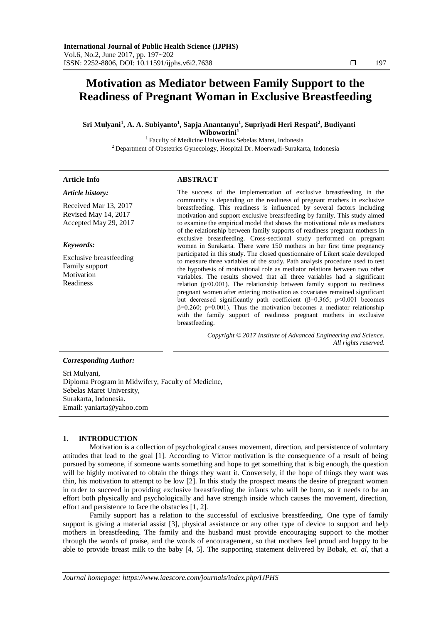# **Motivation as Mediator between Family Support to the Readiness of Pregnant Woman in Exclusive Breastfeeding**

**Sri Mulyani<sup>1</sup> , A. A. Subiyanto<sup>1</sup> , Sapja Anantanyu<sup>1</sup> , Supriyadi Heri Respati<sup>2</sup> , Budiyanti Wiboworini<sup>1</sup>**

 $^{\rm 1}$  Faculty of Medicine Universitas Sebelas Maret, Indonesia <sup>2</sup> Department of Obstetrics Gynecology, Hospital Dr. Moerwadi-Surakarta, Indonesia

# **Article Info ABSTRACT**

*Article history:*

Received Mar 13, 2017 Revised May 14, 2017 Accepted May 29, 2017

# *Keywords:*

Exclusive breastfeeding Family support Motivation Readiness

The success of the implementation of exclusive breastfeeding in the community is depending on the readiness of pregnant mothers in exclusive breastfeeding. This readiness is influenced by several factors including motivation and support exclusive breastfeeding by family. This study aimed to examine the empirical model that shows the motivational role as mediators of the relationship between family supports of readiness pregnant mothers in exclusive breastfeeding. Cross-sectional study performed on pregnant women in Surakarta. There were 150 mothers in her first time pregnancy participated in this study. The closed questionnaire of Likert scale developed to measure three variables of the study. Path analysis procedure used to test the hypothesis of motivational role as mediator relations between two other variables. The results showed that all three variables had a significant relation ( $p$ <0.001). The relationship between family support to readiness pregnant women after entering motivation as covariates remained significant but decreased significantly path coefficient ( $\beta$ =0.365; p<0.001 becomes  $\beta$ =0.260; p=0.001). Thus the motivation becomes a mediator relationship with the family support of readiness pregnant mothers in exclusive breastfeeding.

> *Copyright © 2017 Institute of Advanced Engineering and Science. All rights reserved.*

# *Corresponding Author:*

Sri Mulyani, Diploma Program in Midwifery, Faculty of Medicine, Sebelas Maret University, Surakarta, Indonesia. Email: [yaniarta@yahoo.com](mailto:yaniarta@yahoo.com)

# **1. INTRODUCTION**

Motivation is a collection of psychological causes movement, direction, and persistence of voluntary attitudes that lead to the goal [1]. According to Victor motivation is the consequence of a result of being pursued by someone, if someone wants something and hope to get something that is big enough, the question will be highly motivated to obtain the things they want it. Conversely, if the hope of things they want was thin, his motivation to attempt to be low [2]. In this study the prospect means the desire of pregnant women in order to succeed in providing exclusive breastfeeding the infants who will be born, so it needs to be an effort both physically and psychologically and have strength inside which causes the movement, direction, effort and persistence to face the obstacles [1, 2].

Family support has a relation to the successful of exclusive breastfeeding. One type of family support is giving a material assist [3], physical assistance or any other type of device to support and help mothers in breastfeeding. The family and the husband must provide encouraging support to the mother through the words of praise, and the words of encouragement, so that mothers feel proud and happy to be able to provide breast milk to the baby [4, 5]. The supporting statement delivered by Bobak, *et. al*, that a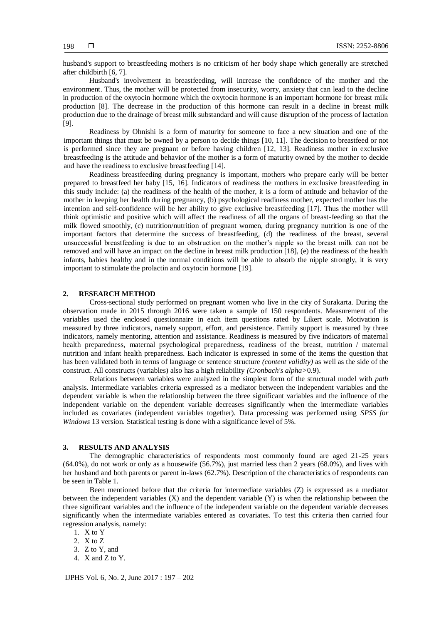husband's support to breastfeeding mothers is no criticism of her body shape which generally are stretched after childbirth [6, 7].

Husband's involvement in breastfeeding, will increase the confidence of the mother and the environment. Thus, the mother will be protected from insecurity, worry, anxiety that can lead to the decline in production of the oxytocin hormone which the oxytocin hormone is an important hormone for breast milk production [8]. The decrease in the production of this hormone can result in a decline in breast milk production due to the drainage of breast milk substandard and will cause disruption of the process of lactation [9].

Readiness by Ohnishi is a form of maturity for someone to face a new situation and one of the important things that must be owned by a person to decide things [10, 11]. The decision to breastfeed or not is performed since they are pregnant or before having children [12, 13]. Readiness mother in exclusive breastfeeding is the attitude and behavior of the mother is a form of maturity owned by the mother to decide and have the readiness to exclusive breastfeeding [14].

Readiness breastfeeding during pregnancy is important, mothers who prepare early will be better prepared to breastfeed her baby [15, 16]. Indicators of readiness the mothers in exclusive breastfeeding in this study include: (a) the readiness of the health of the mother, it is a form of attitude and behavior of the mother in keeping her health during pregnancy, (b) psychological readiness mother, expected mother has the intention and self-confidence will be her ability to give exclusive breastfeeding [17]. Thus the mother will think optimistic and positive which will affect the readiness of all the organs of breast-feeding so that the milk flowed smoothly, (c) nutrition/nutrition of pregnant women, during pregnancy nutrition is one of the important factors that determine the success of breastfeeding, (d) the readiness of the breast, several unsuccessful breastfeeding is due to an obstruction on the mother's nipple so the breast milk can not be removed and will have an impact on the decline in breast milk production [18], (e) the readiness of the health infants, babies healthy and in the normal conditions will be able to absorb the nipple strongly, it is very important to stimulate the prolactin and oxytocin hormone [19].

### **2. RESEARCH METHOD**

Cross-sectional study performed on pregnant women who live in the city of Surakarta. During the observation made in 2015 through 2016 were taken a sample of 150 respondents. Measurement of the variables used the enclosed questionnaire in each item questions rated by Likert scale. Motivation is measured by three indicators, namely support, effort, and persistence. Family support is measured by three indicators, namely mentoring, attention and assistance. Readiness is measured by five indicators of maternal health preparedness, maternal psychological preparedness, readiness of the breast, nutrition / maternal nutrition and infant health preparedness. Each indicator is expressed in some of the items the question that has been validated both in terms of language or sentence structure *(content validity)* as well as the side of the construct. All constructs (variables) also has a high reliability *(Cronbach's alpha>*0.9).

Relations between variables were analyzed in the simplest form of the structural model with *path*  analysis. Intermediate variables criteria expressed as a mediator between the independent variables and the dependent variable is when the relationship between the three significant variables and the influence of the independent variable on the dependent variable decreases significantly when the intermediate variables included as covariates (independent variables together). Data processing was performed using *SPSS for Windows* 13 version. Statistical testing is done with a significance level of 5%.

#### **3. RESULTS AND ANALYSIS**

The demographic characteristics of respondents most commonly found are aged 21-25 years (64.0%), do not work or only as a housewife (56.7%), just married less than 2 years (68.0%), and lives with her husband and both parents or parent in-laws (62.7%). Description of the characteristics of respondents can be seen in Table 1.

Been mentioned before that the criteria for intermediate variables (Z) is expressed as a mediator between the independent variables (X) and the dependent variable (Y) is when the relationship between the three significant variables and the influence of the independent variable on the dependent variable decreases significantly when the intermediate variables entered as covariates. To test this criteria then carried four regression analysis, namely:

1. X to Y

2. X to Z

3. Z to Y, and

4. X and Z to Y.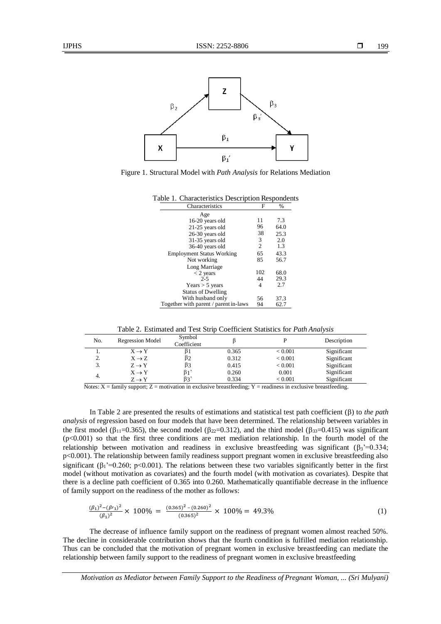

Figure 1. Structural Model with *Path Analysis* for Relations Mediation

| Table 1. Characteristics Description Respondents |     |      |  |  |  |  |
|--------------------------------------------------|-----|------|--|--|--|--|
| Characteristics                                  | F   | %    |  |  |  |  |
| Age                                              |     |      |  |  |  |  |
| 16-20 years old                                  | 11  | 7.3  |  |  |  |  |
| 21-25 years old                                  | 96  | 64.0 |  |  |  |  |
| 26-30 years old                                  | 38  | 25.3 |  |  |  |  |
| 31-35 years old                                  | 3   | 2.0  |  |  |  |  |
| 36-40 years old                                  | 2   | 1.3  |  |  |  |  |
| <b>Employment Status Working</b>                 | 65  | 43.3 |  |  |  |  |
| Not working                                      | 85  | 56.7 |  |  |  |  |
| Long Marriage                                    |     |      |  |  |  |  |
| $<$ 2 years                                      | 102 | 68.0 |  |  |  |  |
| $2 - 5$                                          | 44  | 29.3 |  |  |  |  |
| Years $>$ 5 years                                | 4   | 2.7  |  |  |  |  |
| <b>Status of Dwelling</b>                        |     |      |  |  |  |  |
| With husband only                                | 56  | 37.3 |  |  |  |  |
| Together with parent / parent in-laws            | 94  | 62.7 |  |  |  |  |

Table 2. Estimated and Test Strip Coefficient Statistics for *Path Analysis*

| No.                  | <b>Regression Model</b> | Symbol<br>Coefficient |       |                | Description |
|----------------------|-------------------------|-----------------------|-------|----------------|-------------|
|                      | $X \rightarrow Y$       |                       | 0.365 | ${}_{< 0.001}$ | Significant |
| $\gamma$<br><u>.</u> | $X \rightarrow Z$       | β2                    | 0.312 | ${}_{< 0.001}$ | Significant |
| 3.                   | $Z \rightarrow Y$       | β3                    | 0.415 | ${}_{< 0.001}$ | Significant |
| 4.                   | $X \rightarrow Y$       | β1'                   | 0.260 | 0.001          | Significant |
|                      | $Z \rightarrow Y$       | $\beta$ 3'            | 0.334 | ${}_{< 0.001}$ | Significant |

Notes:  $X =$  family support;  $Z =$  motivation in exclusive breastfeeding;  $Y =$  readiness in exclusive breastfeeding.

In Table 2 are presented the results of estimations and statistical test path coefficient  $(\beta)$  to *the path analysis* of regression based on four models that have been determined. The relationship between variables in the first model ( $\beta_{11}=0.365$ ), the second model ( $\beta_{22}=0.312$ ), and the third model ( $\beta_{33}=0.415$ ) was significant  $(p<0.001)$  so that the first three conditions are met mediation relationship. In the fourth model of the relationship between motivation and readiness in exclusive breastfeeding was significant  $(\beta_3^{\prime}=0.334;$ p<0.001). The relationship between family readiness support pregnant women in exclusive breastfeeding also significant ( $\beta_1$ '=0.260; p<0.001). The relations between these two variables significantly better in the first model (without motivation as covariates) and the fourth model (with motivation as covariates). Despite that there is a decline path coefficient of 0.365 into 0.260. Mathematically quantifiable decrease in the influence of family support on the readiness of the mother as follows:

$$
\frac{(\beta_1)^2 - (\beta \prime_1)^2}{(\beta_1)^2} \times 100\% = \frac{(0.365)^2 - (0.260)^2}{(0.365)^2} \times 100\% = 49.3\% \tag{1}
$$

The decrease of influence family support on the readiness of pregnant women almost reached 50%. The decline in considerable contribution shows that the fourth condition is fulfilled mediation relationship. Thus can be concluded that the motivation of pregnant women in exclusive breastfeeding can mediate the relationship between family support to the readiness of pregnant women in exclusive breastfeeding

*Motivation as Mediator between Family Support to the Readiness of Pregnant Woman, ... (Sri Mulyani)*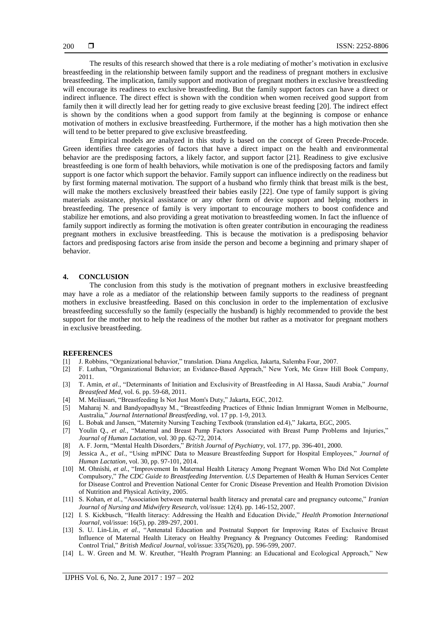The results of this research showed that there is a role mediating of mother's motivation in exclusive breastfeeding in the relationship between family support and the readiness of pregnant mothers in exclusive breastfeeding. The implication, family support and motivation of pregnant mothers in exclusive breastfeeding will encourage its readiness to exclusive breastfeeding. But the family support factors can have a direct or indirect influence. The direct effect is shown with the condition when women received good support from family then it will directly lead her for getting ready to give exclusive breast feeding [20]. The indirect effect is shown by the conditions when a good support from family at the beginning is compose or enhance motivation of mothers in exclusive breastfeeding. Furthermore, if the mother has a high motivation then she will tend to be better prepared to give exclusive breastfeeding.

Empirical models are analyzed in this study is based on the concept of Green Precede-Procede. Green identifies three categories of factors that have a direct impact on the health and environmental behavior are the predisposing factors, a likely factor, and support factor [21]. Readiness to give exclusive breastfeeding is one form of health behaviors, while motivation is one of the predisposing factors and family support is one factor which support the behavior. Family support can influence indirectly on the readiness but by first forming maternal motivation. The support of a husband who firmly think that breast milk is the best, will make the mothers exclusively breastfeed their babies easily [22]. One type of family support is giving materials assistance, physical assistance or any other form of device support and helping mothers in breastfeeding. The presence of family is very important to encourage mothers to boost confidence and stabilize her emotions, and also providing a great motivation to breastfeeding women. In fact the influence of family support indirectly as forming the motivation is often greater contribution in encouraging the readiness pregnant mothers in exclusive breastfeeding. This is because the motivation is a predisposing behavior factors and predisposing factors arise from inside the person and become a beginning and primary shaper of behavior.

# **4. CONCLUSION**

The conclusion from this study is the motivation of pregnant mothers in exclusive breastfeeding may have a role as a mediator of the relationship between family supports to the readiness of pregnant mothers in exclusive breastfeeding. Based on this conclusion in order to the implementation of exclusive breastfeeding successfully so the family (especially the husband) is highly recommended to provide the best support for the mother not to help the readiness of the mother but rather as a motivator for pregnant mothers in exclusive breastfeeding.

# **REFERENCES**

- [1] J. Robbins, "Organizational behavior," translation. Diana Angelica, Jakarta, Salemba Four, 2007.
- [2] F. Luthan, "Organizational Behavior; an Evidance-Based Apprach," New York, Mc Graw Hill Book Company, 2011.
- [3] T. Amin, *et al.*, "Determinants of Initiation and Exclusivity of Breastfeeding in Al Hassa, Saudi Arabia," *Journal Breastfeed Med*, vol. 6. pp. 59-68, 2011.
- [4] M. Meiliasari, "Breastfeeding Is Not Just Mom's Duty," Jakarta, EGC, 2012.
- [5] Maharaj N. and Bandyopadhyay M., "Breastfeeding Practices of Ethnic Indian Immigrant Women in Melbourne, Australia," *Journal International Breastfeeding,* vol. 17 pp. 1-9, 2013*.*
- [6] L. Bobak and Jansen, "Maternity Nursing Teaching Textbook (translation ed.4)," Jakarta, EGC, 2005.
- [7] Youlin Q., *et al.*, "Maternal and Breast Pump Factors Associated with Breast Pump Problems and Injuries," *Journal of Human Lactation,* vol. 30 pp. 62-72, 2014*.*
- [8] A. F. Jorm, "Mental Health Disorders," *British Journal of Psychiatry,* vol. 177, pp. 396-401, 2000.
- [9] Jessica A., *et al.*, "Using mPINC Data to Measure Breastfeeding Support for Hospital Employees," *Journal of Human Lactation,* vol. 30, pp. 97-101, 2014.
- [10] M. Ohnishi, *et al.*, "Improvement In Maternal Health Literacy Among Pregnant Women Who Did Not Complete Compulsory," *The CDC Guide to Breastfeeding Intervention. U.S* Departemen of Health & Human Services Center for Disease Control and Prevention National Center for Cronic Disease Prevention and Health Promotion Division of Nutrition and Physical Activity, 2005.
- [11] S. Kohan, *et al.*, "Association between maternal health literacy and prenatal care and pregnancy outcome," *Iranian Journal of Nursing and Midwifery Research,* vol/issue: 12(4). pp. 146-152, 2007.
- [12] I. S. Kickbusch, "Health literacy: Addressing the Health and Education Divide," *Health Promotion International Journal,* vol/issue: 16(5), pp. 289-297, 2001*.*
- [13] S. U. Lin-Lin, *et al.*, "Antenatal Education and Postnatal Support for Improving Rates of Exclusive Breast Influence of Maternal Health Literacy on Healthy Pregnancy & Pregnancy Outcomes Feeding: Randomised Control Trial," *British Medical Journal,* vol/issue: 335(7620), pp. 596-599, 2007.
- [14] L. W. Green and M. W. Kreuther, "Health Program Planning: an Educational and Ecological Approach," New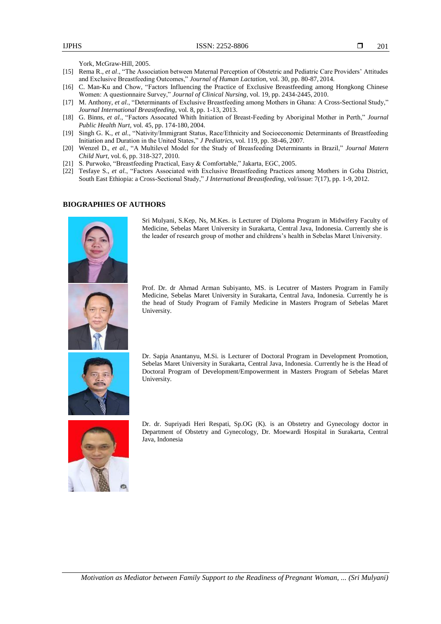York, McGraw-Hill, 2005.

- [15] Rema R., *et al*., "The Association between Maternal Perception of Obstetric and Pediatric Care Providers' Attitudes and Exclusive Breastfeeding Outcomes," *Journal of Human Lactation,* vol. 30, pp. 80-87, 2014*.*
- [16] C. Man-Ku and Chow, "Factors Influencing the Practice of Exclusive Breastfeeding among Hongkong Chinese Women: A questionnaire Survey," *Journal of Clinical Nursing,* vol. 19, pp. 2434-2445, 2010.
- [17] M. Anthony, *et al.*, "Determinants of Exclusive Breastfeeding among Mothers in Ghana: A Cross-Sectional Study," *Journal International Breastfeeding,* vol. 8, pp. 1-13, 2013.
- [18] G. Binns, *et al.*, "Factors Assocated Whith Initiation of Breast-Feeding by Aboriginal Mother in Perth," *Journal Public Health Nurt,* vol. 45, pp. 174-180, 2004.
- [19] Singh G. K., *et al.*, "Nativity/Immigrant Status, Race/Ethnicity and Socioeconomic Determinants of Breastfeeding Initiation and Duration in the United States," *J Pediatrics,* vol. 119, pp. 38-46, 2007*.*
- [20] Wenzel D., *et al.*, "A Multilevel Model for the Study of Breasfeeding Determinants in Brazil," *Journal Matern Child Nurt,* vol. 6, pp. 318-327, 2010*.*
- [21] S. Purwoko, "Breastfeeding Practical, Easy & Comfortable," Jakarta, EGC, 2005.
- [22] Tesfaye S., *et al.*, "Factors Associated with Exclusive Breastfeeding Practices among Mothers in Goba District, South East Ethiopia: a Cross-Sectional Study," *J International Breastfeeding,* vol/issue: 7(17), pp. 1-9, 2012.

#### **BIOGRAPHIES OF AUTHORS**



Sri Mulyani, S.Kep, Ns, M.Kes. is Lecturer of Diploma Program in Midwifery Faculty of Medicine, Sebelas Maret University in Surakarta, Central Java, Indonesia. Currently she is the leader of research group of mother and childrens's health in Sebelas Maret University.

Prof. Dr. dr Ahmad Arman Subiyanto, MS. is Lecutrer of Masters Program in Family Medicine, Sebelas Maret University in Surakarta, Central Java, Indonesia. Currently he is the head of Study Program of Family Medicine in Masters Program of Sebelas Maret University.



Dr. Sapja Anantanyu, M.Si. is Lecturer of Doctoral Program in Development Promotion, Sebelas Maret University in Surakarta, Central Java, Indonesia. Currently he is the Head of Doctoral Program of Development/Empowerment in Masters Program of Sebelas Maret University.



Dr. dr. Supriyadi Heri Respati, Sp.OG (K). is an Obstetry and Gynecology doctor in Department of Obstetry and Gynecology, Dr. Moewardi Hospital in Surakarta, Central Java, Indonesia